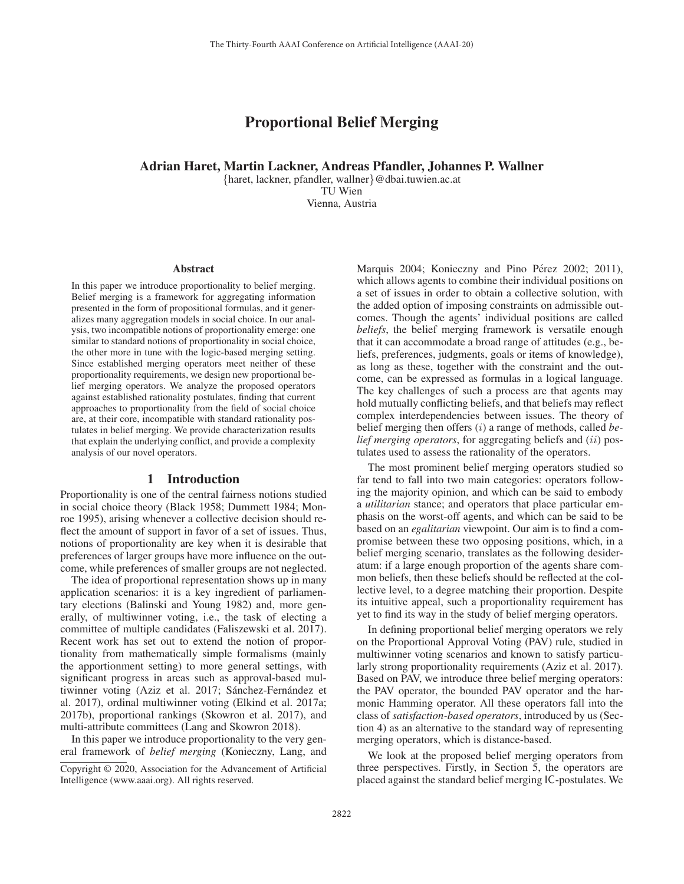# Proportional Belief Merging

### Adrian Haret, Martin Lackner, Andreas Pfandler, Johannes P. Wallner

{haret, lackner, pfandler, wallner}@dbai.tuwien.ac.at TU Wien

Vienna, Austria

#### Abstract

In this paper we introduce proportionality to belief merging. Belief merging is a framework for aggregating information presented in the form of propositional formulas, and it generalizes many aggregation models in social choice. In our analysis, two incompatible notions of proportionality emerge: one similar to standard notions of proportionality in social choice, the other more in tune with the logic-based merging setting. Since established merging operators meet neither of these proportionality requirements, we design new proportional belief merging operators. We analyze the proposed operators against established rationality postulates, finding that current approaches to proportionality from the field of social choice are, at their core, incompatible with standard rationality postulates in belief merging. We provide characterization results that explain the underlying conflict, and provide a complexity analysis of our novel operators.

#### 1 Introduction

Proportionality is one of the central fairness notions studied in social choice theory (Black 1958; Dummett 1984; Monroe 1995), arising whenever a collective decision should reflect the amount of support in favor of a set of issues. Thus, notions of proportionality are key when it is desirable that preferences of larger groups have more influence on the outcome, while preferences of smaller groups are not neglected.

The idea of proportional representation shows up in many application scenarios: it is a key ingredient of parliamentary elections (Balinski and Young 1982) and, more generally, of multiwinner voting, i.e., the task of electing a committee of multiple candidates (Faliszewski et al. 2017). Recent work has set out to extend the notion of proportionality from mathematically simple formalisms (mainly the apportionment setting) to more general settings, with significant progress in areas such as approval-based multiwinner voting (Aziz et al. 2017; Sánchez-Fernández et al. 2017), ordinal multiwinner voting (Elkind et al. 2017a; 2017b), proportional rankings (Skowron et al. 2017), and multi-attribute committees (Lang and Skowron 2018).

In this paper we introduce proportionality to the very general framework of *belief merging* (Konieczny, Lang, and

Marquis 2004; Konieczny and Pino Pérez 2002; 2011), which allows agents to combine their individual positions on a set of issues in order to obtain a collective solution, with the added option of imposing constraints on admissible outcomes. Though the agents' individual positions are called *beliefs*, the belief merging framework is versatile enough that it can accommodate a broad range of attitudes (e.g., beliefs, preferences, judgments, goals or items of knowledge), as long as these, together with the constraint and the outcome, can be expressed as formulas in a logical language. The key challenges of such a process are that agents may hold mutually conflicting beliefs, and that beliefs may reflect complex interdependencies between issues. The theory of belief merging then offers (i) a range of methods, called *belief merging operators*, for aggregating beliefs and (ii) postulates used to assess the rationality of the operators.

The most prominent belief merging operators studied so far tend to fall into two main categories: operators following the majority opinion, and which can be said to embody a *utilitarian* stance; and operators that place particular emphasis on the worst-off agents, and which can be said to be based on an *egalitarian* viewpoint. Our aim is to find a compromise between these two opposing positions, which, in a belief merging scenario, translates as the following desideratum: if a large enough proportion of the agents share common beliefs, then these beliefs should be reflected at the collective level, to a degree matching their proportion. Despite its intuitive appeal, such a proportionality requirement has yet to find its way in the study of belief merging operators.

In defining proportional belief merging operators we rely on the Proportional Approval Voting (PAV) rule, studied in multiwinner voting scenarios and known to satisfy particularly strong proportionality requirements (Aziz et al. 2017). Based on PAV, we introduce three belief merging operators: the PAV operator, the bounded PAV operator and the harmonic Hamming operator. All these operators fall into the class of *satisfaction-based operators*, introduced by us (Section 4) as an alternative to the standard way of representing merging operators, which is distance-based.

We look at the proposed belief merging operators from three perspectives. Firstly, in Section 5, the operators are placed against the standard belief merging IC-postulates. We

Copyright © 2020, Association for the Advancement of Artificial Intelligence (www.aaai.org). All rights reserved.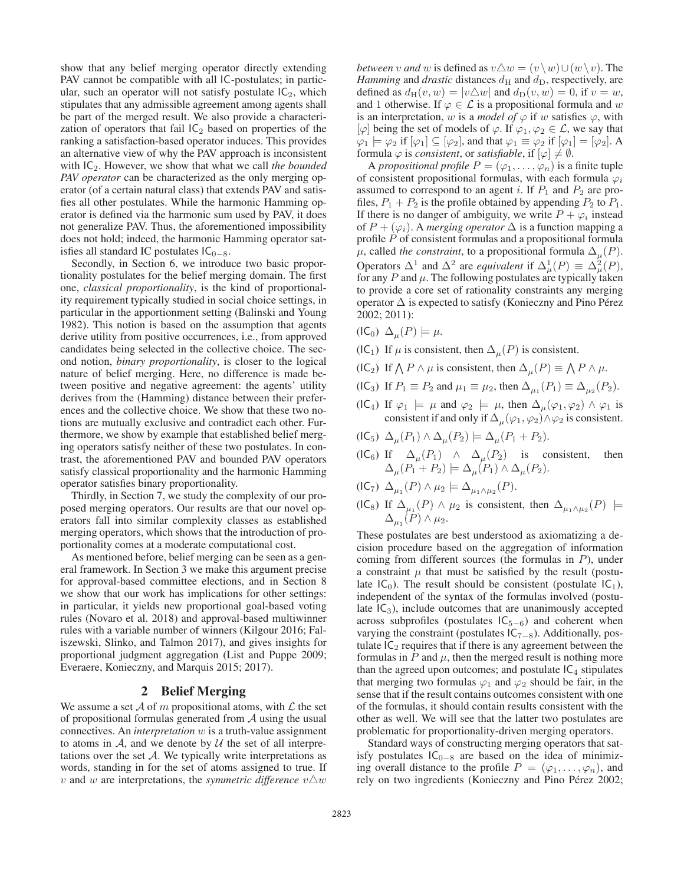show that any belief merging operator directly extending PAV cannot be compatible with all IC-postulates; in particular, such an operator will not satisfy postulate  $IC_2$ , which stipulates that any admissible agreement among agents shall be part of the merged result. We also provide a characterization of operators that fail  $IC_2$  based on properties of the ranking a satisfaction-based operator induces. This provides an alternative view of why the PAV approach is inconsistent with IC2. However, we show that what we call *the bounded PAV operator* can be characterized as the only merging operator (of a certain natural class) that extends PAV and satisfies all other postulates. While the harmonic Hamming operator is defined via the harmonic sum used by PAV, it does not generalize PAV. Thus, the aforementioned impossibility does not hold; indeed, the harmonic Hamming operator satisfies all standard IC postulates  $IC_{0-8}$ .

Secondly, in Section 6, we introduce two basic proportionality postulates for the belief merging domain. The first one, *classical proportionality*, is the kind of proportionality requirement typically studied in social choice settings, in particular in the apportionment setting (Balinski and Young 1982). This notion is based on the assumption that agents derive utility from positive occurrences, i.e., from approved candidates being selected in the collective choice. The second notion, *binary proportionality*, is closer to the logical nature of belief merging. Here, no difference is made between positive and negative agreement: the agents' utility derives from the (Hamming) distance between their preferences and the collective choice. We show that these two notions are mutually exclusive and contradict each other. Furthermore, we show by example that established belief merging operators satisfy neither of these two postulates. In contrast, the aforementioned PAV and bounded PAV operators satisfy classical proportionality and the harmonic Hamming operator satisfies binary proportionality.

Thirdly, in Section 7, we study the complexity of our proposed merging operators. Our results are that our novel operators fall into similar complexity classes as established merging operators, which shows that the introduction of proportionality comes at a moderate computational cost.

As mentioned before, belief merging can be seen as a general framework. In Section 3 we make this argument precise for approval-based committee elections, and in Section 8 we show that our work has implications for other settings: in particular, it yields new proportional goal-based voting rules (Novaro et al. 2018) and approval-based multiwinner rules with a variable number of winners (Kilgour 2016; Faliszewski, Slinko, and Talmon 2017), and gives insights for proportional judgment aggregation (List and Puppe 2009; Everaere, Konieczny, and Marquis 2015; 2017).

#### 2 Belief Merging

We assume a set A of m propositional atoms, with  $\mathcal L$  the set of propositional formulas generated from A using the usual connectives. An *interpretation* w is a truth-value assignment to atoms in  $A$ , and we denote by  $U$  the set of all interpretations over the set  $A$ . We typically write interpretations as words, standing in for the set of atoms assigned to true. If  $v$  and  $w$  are interpretations, the *symmetric difference*  $v \triangle w$ 

*between* v *and* w is defined as  $v \triangle w = (v \setminus w) \cup (w \setminus v)$ . The *Hamming and drastic distances du and draginerally are Hamming* and *drastic* distances  $d_H$  and  $d_D$ , respectively, are defined as  $d_H(v, w) = |v \triangle w|$  and  $d_D(v, w) = 0$ , if  $v = w$ ,<br>and 1 otherwise. If  $\omega \in \mathcal{L}$  is a propositional formula and w and 1 otherwise. If  $\varphi \in \mathcal{L}$  is a propositional formula and w is an interpretation, w is a *model of*  $\varphi$  if w satisfies  $\varphi$ , with  $[\varphi]$  being the set of models of  $\varphi$ . If  $\varphi_1, \varphi_2 \in \mathcal{L}$ , we say that  $\varphi_1 \models \varphi_2$  if  $[\varphi_1] \subseteq [\varphi_2]$ , and that  $\varphi_1 \equiv \varphi_2$  if  $[\varphi_1] = [\varphi_2]$ . A formula  $\varphi_1$  is consistent or *satisfiable* if  $[\varphi] \neq \emptyset$ formula  $\varphi$  is *consistent*, or *satisfiable*, if  $[\varphi] \neq \emptyset$ .

A *propositional profile*  $P = (\varphi_1, \dots, \varphi_n)$  is a finite tuple of consistent propositional formulas, with each formula  $\varphi_i$ assumed to correspond to an agent i. If  $P_1$  and  $P_2$  are profiles,  $P_1 + P_2$  is the profile obtained by appending  $P_2$  to  $P_1$ . If there is no danger of ambiguity, we write  $P + \varphi_i$  instead of  $P + (\varphi_i)$ . A *merging operator*  $\Delta$  is a function mapping a profile P of consistent formulas and a propositional formula  $\mu$ , called *the constraint*, to a propositional formula  $\Delta_{\mu}(P)$ . Operators  $\Delta^1$  and  $\Delta^2$  are *equivalent* if  $\Delta^1_\mu(P) \equiv \Delta^2_\mu(P)$ , for any *P* and *μ*. The following postulates are typically taken for any  $P$  and  $\mu$ . The following postulates are typically taken to provide a core set of rationality constraints any merging operator  $\Delta$  is expected to satisfy (Konieczny and Pino Pérez 2002; 2011):

- $(IC_0) \Delta_\mu(P) \models \mu.$
- (IC<sub>1</sub>) If  $\mu$  is consistent, then  $\Delta_{\mu}(P)$  is consistent.
- (IC<sub>2</sub>) If  $\bigwedge P \wedge \mu$  is consistent, then  $\Delta_{\mu}(P) \equiv \bigwedge P \wedge \mu$ .
- (IC<sub>3</sub>) If  $P_1 \equiv P_2$  and  $\mu_1 \equiv \mu_2$ , then  $\Delta_{\mu_1}(P_1) \equiv \Delta_{\mu_2}(P_2)$ .
- (IC<sub>4</sub>) If  $\varphi_1 \models \mu$  and  $\varphi_2 \models \mu$ , then  $\Delta_{\mu}(\varphi_1, \varphi_2) \wedge \varphi_1$  is consistent if and only if  $\Delta_{\mu}(\varphi_1, \varphi_2) \wedge \varphi_2$  is consistent.
- $(IC_5)$   $\Delta_{\mu}(P_1) \wedge \Delta_{\mu}(P_2) \models \Delta_{\mu}(P_1 + P_2).$
- (IC<sub>6</sub>) If  $\Delta_{\mu}(P_1) \wedge \Delta_{\mu}(P_2)$  is consistent, then  $\Delta_{\mu}(P_1 + P_2) \models \Delta_{\mu}(P_1) \wedge \Delta_{\mu}(P_2).$
- (IC<sub>7</sub>)  $\Delta_{\mu_1}(P) \wedge \mu_2 \models \Delta_{\mu_1 \wedge \mu_2}(P)$ .
- (IC<sub>8</sub>) If  $\Delta_{\mu_1}(P) \wedge \mu_2$  is consistent, then  $\Delta_{\mu_1 \wedge \mu_2}(P)$   $\models$  $\Delta_{\mu_1}(P)\wedge\mu_2.$

These postulates are best understood as axiomatizing a decision procedure based on the aggregation of information coming from different sources (the formulas in P), under a constraint  $\mu$  that must be satisfied by the result (postulate  $IC<sub>0</sub>$ ). The result should be consistent (postulate  $IC<sub>1</sub>$ ), independent of the syntax of the formulas involved (postulate  $IC_3$ ), include outcomes that are unanimously accepted across subprofiles (postulates  $IC_{5-6}$ ) and coherent when varying the constraint (postulates  $IC_{7-8}$ ). Additionally, postulate  $IC<sub>2</sub>$  requires that if there is any agreement between the formulas in  $P$  and  $\mu$ , then the merged result is nothing more than the agreed upon outcomes; and postulate  $IC<sub>4</sub>$  stipulates that merging two formulas  $\varphi_1$  and  $\varphi_2$  should be fair, in the sense that if the result contains outcomes consistent with one of the formulas, it should contain results consistent with the other as well. We will see that the latter two postulates are problematic for proportionality-driven merging operators.

Standard ways of constructing merging operators that satisfy postulates  $IC<sub>0−8</sub>$  are based on the idea of minimizing overall distance to the profile  $P = (\varphi_1, \ldots, \varphi_n)$ , and rely on two ingredients (Konieczny and Pino Pérez 2002;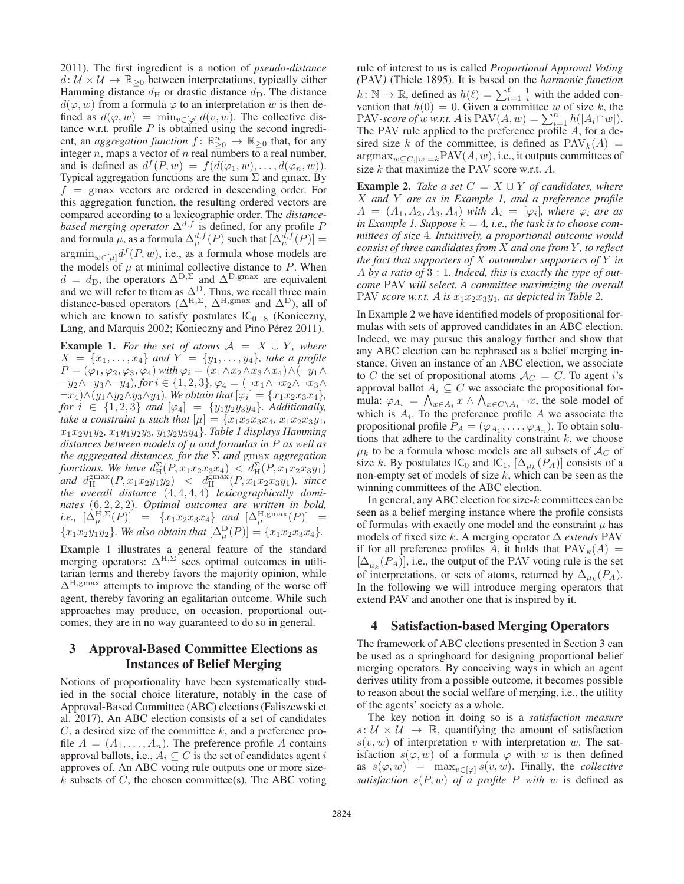2011). The first ingredient is a notion of *pseudo-distance*  $d: U \times U \rightarrow \mathbb{R}_{\geq 0}$  between interpretations, typically either Hamming distance  $d_H$  or drastic distance  $d_D$ . The distance  $d(\varphi, w)$  from a formula  $\varphi$  to an interpretation w is then defined as  $d(\varphi, w) = \min_{v \in [\varphi]} d(v, w)$ . The collective distance w.r.t. profile  $P$  is obtained using the second ingredient, an *aggregation function*  $f: \mathbb{R}^n_{\geq 0} \to \mathbb{R}_{\geq 0}$  that, for any integer *n* mans a vector of *n* real numbers to a real number integer  $n$ , maps a vector of  $n$  real numbers to a real number, and is defined as  $d^f(P, w) = f(d(\varphi_1, w), \ldots, d(\varphi_n, w)).$ Typical aggregation functions are the sum  $\Sigma$  and gmax. By  $f = \text{gmax}$  vectors are ordered in descending order. For this aggregation function, the resulting ordered vectors are compared according to a lexicographic order. The *distancebased merging operator*  $\Delta^{d,f}$  is defined, for any profile P and formula  $\mu$ , as a formula  $\Delta_{\mu}^{d,f}(P)$  such that  $[\Delta_{\mu}^{d,f}(P)] =$ <br>example  $\Delta_{\mu}^{f}(P, \omega)$  i.e., as a formula whose models are  $\operatorname{argmin}_{w \in [\mu]} d^f(P, w)$ , i.e., as a formula whose models are the models of  $\mu$  at minimal collective distance to P. When  $d = d_{\text{D}}$ , the operators  $\Delta^{\text{D}}, \Sigma$  and  $\Delta^{\text{D}}, \text{gmax}$  are equivalent and we will refer to them as  $\Delta^{\text{D}}$ . Thus we recall three main and we will refer to them as  $\Delta^D$ . Thus, we recall three main distance-based operators  $(\Delta^H)$ .  $\Delta^H$ ,  $\Delta^H$ , and  $(\Delta^D)$  all of distance-based operators ( $\Delta^{H,\Sigma}$ ,  $\Delta^{H,\text{gmax}}$  and  $\Delta^{D}$ ), all of which are known to satisfy postulates  $|C_{\Omega}|$  (Konieczny which are known to satisfy postulates IC<sub>0−8</sub> (Konieczny, Lang, and Marquis 2002; Konieczny and Pino Pérez 2011).

**Example 1.** For the set of atoms  $A = X \cup Y$ , where  $X = \{x_1, x_2\}$  and  $Y = \{y_1, y_2\}$  take a profile  $X = \{x_1, \ldots, x_4\}$  and  $Y = \{y_1, \ldots, y_4\}$ *, take a profile*<br> $P = (\varnothing_1, \varnothing_2, \varnothing_3, \varnothing_4)$  with  $\varnothing_4 = (x_1 \wedge x_2 \wedge x_3 \wedge x_4) \wedge (\neg y_1 \wedge \neg y_2 \wedge x_4)$  $P = (\varphi_1, \varphi_2, \varphi_3, \varphi_4)$  *with*  $\varphi_i = (x_1 \wedge x_2 \wedge x_3 \wedge x_4) \wedge (\neg y_1 \wedge x_2 \wedge x_3 \wedge x_4)$  $\neg y_2 \wedge \neg y_3 \wedge \neg y_4$ *)*, for  $i \in \{1, 2, 3\}$ ,  $\varphi_4 = (\neg x_1 \wedge \neg x_2 \wedge \neg x_3 \wedge \neg x_4)$ <br> $\neg x_4 \wedge (y_1 \wedge y_2 \wedge y_3 \wedge y_4)$  We obtain that  $[\varphi_4] = \{x_1, x_2, x_3, x_4\}$  $\neg x_4$ )∧(y<sub>1</sub>∧y<sub>2</sub>∧y<sub>3</sub>∧y<sub>4</sub>)*. We obtain that*  $[\varphi_i] = \{x_1x_2x_3x_4\}$ *, for*  $i \in \{1, 2, 3\}$  *and*  $[\varphi_4] = \{y_1y_2y_3y_4\}$ *. Additionally, take a constraint*  $\mu$  *such that*  $[\mu] = \{x_1x_2x_3x_4, x_1x_2x_3y_1,$ x1x2y1y2*,* <sup>x</sup>1y1y2y3*,* <sup>y</sup>1y2y3y4}*. Table 1 displays Hamming distances between models of* μ *and formulas in* P *as well as the aggregated distances, for the*  $\Sigma$  *and* gmax *aggregation* functions. We have  $d_H^{\Sigma}(P, x_1x_2x_3x_4) < d_H^{\Sigma}(P, x_1x_2x_3y_1)$  *and*  $d_H^{\text{gmax}}(P, x_1x_2y_1y_2) < d_H^{\text{gmax}}(P, x_1x_2x_3y_1)$ *, since* the *overall distance the overall distance* (4, 4, 4, 4) *lexicographically dominates* (6, 2, 2, 2) *Optimal outcomes are written in hold nates* (6, 2, 2, 2)*. Optimal outcomes are written in bold, i.e.*,  $[\Delta^{\text{H}, \Sigma}_{\mu}(\vec{P})] = \{x_1x_2x_3x_4\}$  *and*  $[\Delta^{\text{H,gmax}}_{\mu}(\vec{P})] =$  ${x_1x_2y_1y_2}$ *. We also obtain that*  $[\Delta_{\mu}^{D}(P)] = {x_1x_2x_3x_4}$ *.* 

Example 1 illustrates a general feature of the standard merging operators:  $\Delta^{H,\Sigma}$  sees optimal outcomes in utilitarian terms and thereby favors the majority opinion while tarian terms and thereby favors the majority opinion, while  $\Delta^{\rm H, gmax}$  attempts to improve the standing of the worse off agent, thereby favoring an egalitarian outcome. While such approaches may produce, on occasion, proportional outcomes, they are in no way guaranteed to do so in general.

## 3 Approval-Based Committee Elections as Instances of Belief Merging

Notions of proportionality have been systematically studied in the social choice literature, notably in the case of Approval-Based Committee (ABC) elections (Faliszewski et al. 2017). An ABC election consists of a set of candidates  $C$ , a desired size of the committee  $k$ , and a preference profile  $A = (A_1, \ldots, A_n)$ . The preference profile A contains approval ballots, i.e.,  $A_i \subseteq C$  is the set of candidates agent i approves of. An ABC voting rule outputs one or more size $k$  subsets of  $C$ , the chosen committee(s). The ABC voting rule of interest to us is called *Proportional Approval Voting (PAV)* (Thiele 1895). It is based on the *harmonic function*  $h \cdot \mathbb{N} \rightarrow \mathbb{P}$  defined as  $h(\ell) = \sum^{\ell} 1$  with the added conh: N → R, defined as  $h(\ell) = \sum_{i=1}^{\ell} \frac{1}{i}$  with the added convention that  $h(0) = 0$  Given a committee w of size k the vention that  $h(0) = 0$ . Given a committee w of size k, the PAV-scare of w w rt A is PAV(A w) =  $\sum_{n=1}^{n} h(|A \cap w|)$ PAV*-score of w w.r.t.* A is PAV( $A, w$ ) =  $\sum_{i=1}^{n} h(|A_i \cap w|)$ .<br>The PAV rule annied to the preference profile A for a de-The PAV rule applied to the preference profile <sup>A</sup>, for a desired size k of the committee, is defined as  $PAV_k(A)$  =  $\operatorname{argmax}_{w \subset C, |w|=k} PAV(A, w)$ , i.e., it outputs committees of size k that maximize the PAV score w.r.t. A.

**Example 2.** *Take a set*  $C = X \cup Y$  *of candidates, where* X *and* Y *are as in Example 1, and a preference profile*  $A = (A_1, A_2, A_3, A_4)$  *with*  $A_i = [\varphi_i]$ *, where*  $\varphi_i$  *are as* in Example 1. Suppose  $k = 4$ , *i.e.*, the task is to choose com*mittees of size* 4*. Intuitively, a proportional outcome would consist of three candidates from* X *and one from* Y *, to reflect the fact that supporters of* X *outnumber supporters of* Y *in* <sup>A</sup> *by a ratio of* 3:1*. Indeed, this is exactly the type of outcome* PAV *will select. A committee maximizing the overall* PAV *score w.r.t.* A *is*  $x_1x_2x_3y_1$ *, as depicted in Table 2.* 

In Example 2 we have identified models of propositional formulas with sets of approved candidates in an ABC election. Indeed, we may pursue this analogy further and show that any ABC election can be rephrased as a belief merging instance. Given an instance of an ABC election, we associate to C the set of propositional atoms  $A_C = C$ . To agent i's approval ballot  $A_i \subseteq C$  we associate the propositional formula:  $\varphi_{A_i} = \bigwedge_{x \in A_i} x \wedge \bigwedge_{x \in C \setminus A_i} -x$ , the sole model of which is  $A_i$ . To the preference profile A we associate the propositional profile  $P_A = (\varphi_{A_1}, \ldots, \varphi_{A_n})$ . To obtain solutions that adhere to the cardinality constraint  $k$ , we choose  $\mu_k$  to be a formula whose models are all subsets of  $\mathcal{A}_C$  of size k. By postulates  $\mathsf{IC}_0$  and  $\mathsf{IC}_1$ ,  $[\Delta_{\mu_k}(P_A)]$  consists of a non-empty set of models of size  $k$ , which can be seen as the winning committees of the ABC election.

In general, any ABC election for size- $k$  committees can be seen as a belief merging instance where the profile consists of formulas with exactly one model and the constraint  $\mu$  has models of fixed size <sup>k</sup>. A merging operator Δ *extends* PAV if for all preference profiles A, it holds that  $PAV_k(A)$  =  $[\Delta_{\mu\nu}(P_A)]$ , i.e., the output of the PAV voting rule is the set of interpretations, or sets of atoms, returned by  $\Delta_{\mu_k}(P_A)$ . In the following we will introduce merging operators that extend PAV and another one that is inspired by it.

### 4 Satisfaction-based Merging Operators

The framework of ABC elections presented in Section 3 can be used as a springboard for designing proportional belief merging operators. By conceiving ways in which an agent derives utility from a possible outcome, it becomes possible to reason about the social welfare of merging, i.e., the utility of the agents' society as a whole.

The key notion in doing so is a *satisfaction measure*  $s: U \times U \rightarrow \mathbb{R}$ , quantifying the amount of satisfaction  $s(v, w)$  of interpretation v with interpretation w. The satisfaction  $s(\varphi, w)$  of a formula  $\varphi$  with w is then defined as  $s(\varphi, w) = \max_{v \in [\varphi]} s(v, w)$ . Finally, the *collective satisfaction*  $s(P, w)$  *of a profile* P *with* w is defined as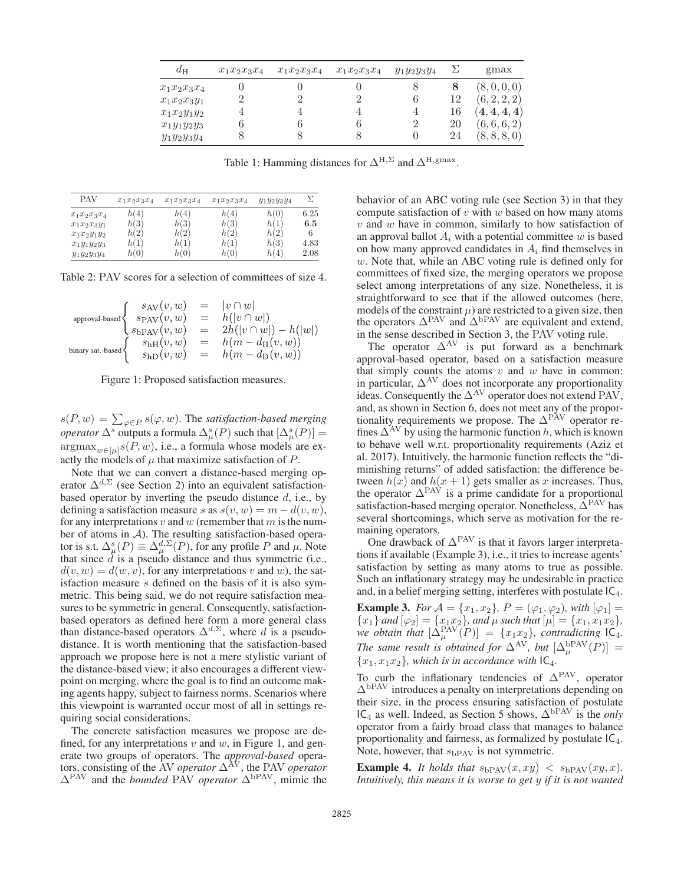| $d_H$          | $x_1x_2x_3x_4$ | $x_1x_2x_3x_4$ | $x_1x_2x_3x_4$ | $y_1y_2y_3y_4$ |    | gmax          |
|----------------|----------------|----------------|----------------|----------------|----|---------------|
| $x_1x_2x_3x_4$ |                |                |                | 8              | 8  | (8,0,0,0)     |
| $x_1x_2x_3y_1$ |                |                |                | 6              | 12 | (6, 2, 2, 2)  |
| $x_1x_2y_1y_2$ |                |                |                | 4              | 16 | $\{4,4,4,4\}$ |
| $x_1y_1y_2y_3$ |                |                |                | $\overline{2}$ | 20 | (6,6,6,2)     |
| $y_1y_2y_3y_4$ |                |                |                |                | 24 | (8, 8, 8, 0)  |

Table 1: Hamming distances for  $\Delta^{H,\Sigma}$  and  $\Delta^{H,\mathrm{gmax}}$ .

| <b>PAV</b>     | $x_1x_2x_3x_4$ | $x_1x_2x_3x_4$ | $x_1x_2x_3x_4$ | $y_1y_2y_3y_4$ | Σ    |
|----------------|----------------|----------------|----------------|----------------|------|
| $x_1x_2x_3x_4$ | h(4)           | h(4)           | h(4)           | h(0)           | 6.25 |
| $x_1x_2x_3y_1$ | h(3)           | h(3)           | h(3)           | h(1)           | 6.5  |
| $x_1x_2y_1y_2$ | h(2)           | h(2)           | h(2)           | h(2)           | 6    |
| $x_1y_1y_2y_3$ | h(1)           | h(1)           | h(1)           | h(3)           | 4.83 |
| $y_1y_2y_3y_4$ | h(0)           | h(0)           | h(0)           | h(4)           | 2.08 |

Table 2: PAV scores for a selection of committees of size 4.

$$
\text{approxl-based}\begin{cases} s_{\text{AV}}(v,w) &= |v \cap w| \\ s_{\text{BAV}}(v,w) &= h(|v \cap w|) \\ s_{\text{bPAV}}(v,w) &= 2h(|v \cap w|) - h(|w|) \\ \text{binary sat-based} \end{cases}
$$
\n
$$
\text{binary sat-based}\begin{cases} s_{\text{hH}}(v,w) &= h(m - d_{\text{H}}(v,w)) \\ s_{\text{hD}}(v,w) &= h(m - d_{\text{D}}(v,w)) \\ s_{\text{hD}}(v,w) &= h(m - d_{\text{D}}(v,w)) \end{cases}
$$

Figure 1: Proposed satisfaction measures.

 $s(P, w) = \sum_{\varphi \in P} s(\varphi, w)$ . The *satisfaction-based merging*<br>concreter  $\Delta^s$  outputs a formula  $\Delta^s(P)$  such that  $[\Delta^s(P)]$ *operator*  $\Delta^s$  outputs a formula  $\Delta^s_\mu(P)$  such that  $[\Delta^s_\mu(P)] =$ <br>  $\Delta^s$  $\argmax_{w \in [\mu]} s(P, w)$ , i.e., a formula whose models are exactly the models of  $\mu$  that maximize satisfaction of  $P$ .

Note that we can convert a distance-based merging operator  $\Delta^{d,\Sigma}$  (see Section 2) into an equivalent satisfactionbased operator by inverting the pseudo distance  $d$ , i.e., by defining a satisfaction measure s as  $s(v, w) = m - d(v, w)$ , for any interpretations  $v$  and  $w$  (remember that  $m$  is the number of atoms in A). The resulting satisfaction-based operator is s.t.  $\Delta_{\mu}^{s}(P) \equiv \Delta_{\mu}^{d,\Sigma}(P)$ , for any profile P and  $\mu$ . Note that since  $\tilde{d}$  is a pseudo distance and thus symmetric (i.e.,  $d(v, w) = d(w, v)$ , for any interpretations v and w), the satisfaction measure s defined on the basis of it is also symmetric. This being said, we do not require satisfaction measures to be symmetric in general. Consequently, satisfactionbased operators as defined here form a more general class than distance-based operators  $\Delta^{d,\Sigma}$ , where d is a pseudodistance. It is worth mentioning that the satisfaction-based approach we propose here is not a mere stylistic variant of the distance-based view; it also encourages a different viewpoint on merging, where the goal is to find an outcome making agents happy, subject to fairness norms. Scenarios where this viewpoint is warranted occur most of all in settings requiring social considerations.

The concrete satisfaction measures we propose are defined, for any interpretations  $v$  and  $w$ , in Figure 1, and generate two groups of operators. The *approval-based* operators, consisting of the AV *operator*  $\Delta^{\text{AV}}$ , the PAV *operator*  $\Delta^{\text{PAV}}$  and the *bounded* PAV *operator*  $\Delta^{\text{bPAV}}$  mimic the  $\Delta^{\text{PAV}}$  and the *bounded* PAV *operator*  $\Delta^{\text{bPAV}}$ , mimic the

behavior of an ABC voting rule (see Section 3) in that they compute satisfaction of  $v$  with  $w$  based on how many atoms  $v$  and  $w$  have in common, similarly to how satisfaction of an approval ballot  $A_i$  with a potential committee w is based on how many approved candidates in  $A_i$  find themselves in w. Note that, while an ABC voting rule is defined only for committees of fixed size, the merging operators we propose select among interpretations of any size. Nonetheless, it is straightforward to see that if the allowed outcomes (here, models of the constraint  $\mu$ ) are restricted to a given size, then the operators  $\Delta^{\text{PAV}}$  and  $\Delta^{\text{bPAV}}$  are equivalent and extend, in the sense described in Section 3, the PAV voting rule in the sense described in Section 3, the PAV voting rule.

The operator  $\Delta$ <sup>AV</sup> is put forward as a benchmark approval-based operator, based on a satisfaction measure that simply counts the atoms  $v$  and  $w$  have in common: in particular,  $\Delta$ <sup>AV</sup> does not incorporate any proportionality ideas. Consequently the  $\Delta^{\rm AV}$  operator does not extend PAV, and, as shown in Section 6, does not meet any of the proportionality requirements we propose. The  $\Delta$ <sup>PAV</sup> operator refines  $\Delta^{AV}$  by using the harmonic function h, which is known to behave well w.r.t. proportionality requirements (Aziz et al. 2017). Intuitively, the harmonic function reflects the "diminishing returns" of added satisfaction: the difference between  $h(x)$  and  $h(x + 1)$  gets smaller as x increases. Thus, the operator  $\Delta^{\text{PAV}}$  is a prime candidate for a proportional satisfaction-based merging operator. Nonetheless,  $\hat{\Delta}^{PAV}$  has several shortcomings, which serve as motivation for the remaining operators.

One drawback of  $\Delta^{\text{PAV}}$  is that it favors larger interpretations if available (Example 3), i.e., it tries to increase agents' satisfaction by setting as many atoms to true as possible. Such an inflationary strategy may be undesirable in practice and, in a belief merging setting, interferes with postulate  $IC<sub>4</sub>$ .

**Example 3.** *For*  $A = \{x_1, x_2\}$ ,  $P = (\varphi_1, \varphi_2)$ , with  $[\varphi_1] =$  ${x_1}$  and  ${[\varphi_2]} = {x_1x_2}$ , and  $\mu$  such that  ${[\mu]} = {x_1, x_1x_2}$ ,<br>we obtain that  $[\Lambda^{PAV}(P)] = {x_1x_2}$  contradicting  ${[\Gamma_A]}$ we obtain that  $[\Delta_{\mu}^{\text{PAV}}(P)] = \{x_1x_2\}$ , contradicting  $[\Delta_{\mu}]$ <br>The same nearly is obtained for AAV but  $[\Delta_{\text{BPAV}}(P)]$ *The same result is obtained for*  $\Delta^{AV}$ *, but*  $[\Delta^{bPAV}_\mu(P)] =$ <br> $\{x_i, x_i, y_j\}$  which is in accordance with  $[C, E]$  ${x_1, x_1x_2}$ *, which is in accordance with*  $C_4$ *.* 

To curb the inflationary tendencies of  $\Delta^{\text{PAV}}$ , operator  $\Delta^{\text{bPAV}}$  introduces a penalty on interpretations depending on their size, in the process ensuring satisfaction of postulate  $IC_4$  as well. Indeed, as Section 5 shows,  $\Delta^{bPAV}$  is the *only* operator from a fairly broad class that manages to balance proportionality and fairness, as formalized by postulate  $IC<sub>4</sub>$ . Note, however, that  $s_{\rm bPAV}$  is not symmetric.

**Example 4.** *It holds that*  $s_{\text{bPAV}}(x, xy) < s_{\text{bPAV}}(xy, x)$ . *Intuitively, this means it is worse to get* y *if it is not wanted*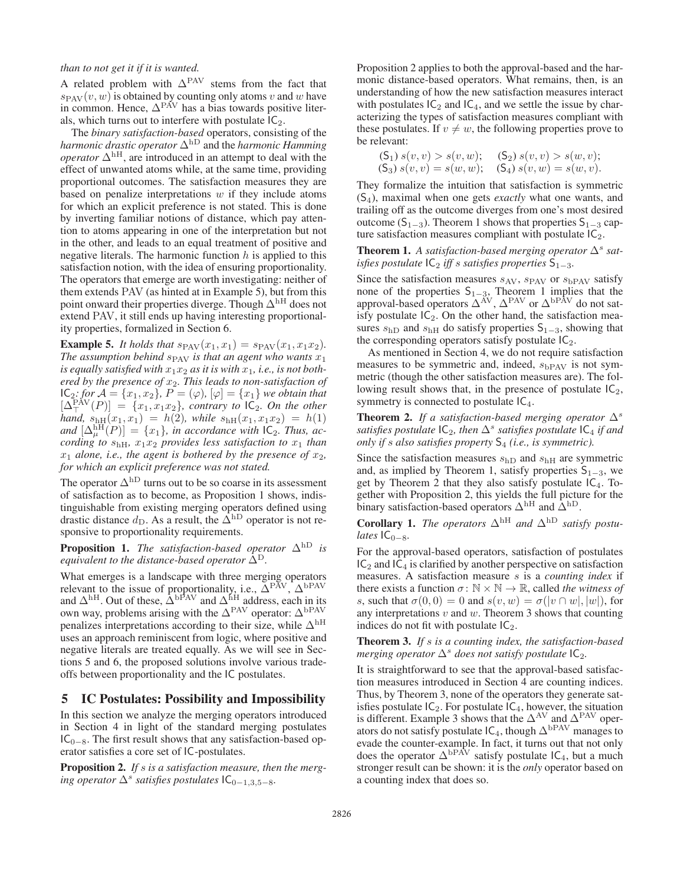### *than to not get it if it is wanted.*

A related problem with  $\Delta^{\text{PAV}}$  stems from the fact that  $s_{\text{PAV}}(v, w)$  is obtained by counting only atoms v and w have<br>in common. Hence  $\Delta^{\text{PAV}}$  has a bias towards nositive literin common. Hence,  $\Delta$ <sup>PAV</sup> has a bias towards positive literals, which turns out to interfere with postulate  $IC_2$ .

The *binary satisfaction-based* operators, consisting of the *harmonic drastic operator* <sup>Δ</sup>hD and the *harmonic Hamming operator*  $\Delta^{\text{hH}}$ , are introduced in an attempt to deal with the effect of unwanted atoms while, at the same time, providing proportional outcomes. The satisfaction measures they are based on penalize interpretations  $w$  if they include atoms for which an explicit preference is not stated. This is done by inverting familiar notions of distance, which pay attention to atoms appearing in one of the interpretation but not in the other, and leads to an equal treatment of positive and negative literals. The harmonic function  $h$  is applied to this satisfaction notion, with the idea of ensuring proportionality. The operators that emerge are worth investigating: neither of them extends PAV (as hinted at in Example 5), but from this point onward their properties diverge. Though  $\Delta^{\rm hH}$  does not extend PAV, it still ends up having interesting proportionality properties, formalized in Section 6.

**Example 5.** *It holds that*  $s_{PAV}(x_1, x_1) = s_{PAV}(x_1, x_1x_2)$ *. The assumption behind*  $s_{PAV}$  *is that an agent who wants*  $x_1$ is equally satisfied with  $x_1x_2$  as it is with  $x_1$ , *i.e.*, is not both*ered by the presence of*  $x_2$ *. This leads to non-satisfaction of*  $IC_2$ *: for*  $A = \{x_1, x_2\}$ *,*  $P = (\varphi)$ *,*  $[\varphi] = \{x_1\}$  *we obtain that*  $IC_2$ *; for*  $\mathcal{A} = \{x_1, x_2\}$ ,  $P = (\varphi)$ ,  $[\varphi] = \{x_1\}$  *we obtain that*  $[\wedge] \in \{x_1, x_2\}$  *contrary to*  $[C_2, Q_1]$  *the other*  $\begin{cases} [\Delta_{\top} \quad (F)] = \{x_1, x_1x_2\}, \text{ contrary to } \mathbb{C}_2. \text{ On the other hand, } s_{\text{hH}}(x_1, x_1) = h(2), \text{ while } s_{\text{hH}}(x_1, x_1x_2) = h(1) \text{ and } [\Delta^{\text{hH}}(P)] = \{x_1\} \text{ in accordance with } \mathbb{C}_2. \text{ Thus, a-} \end{cases}$  $(\overline{P}_{\overline{A}}^{XV}(P)) = \{x_1, x_1x_2\}$ , contrary to  $\overline{IC_2}$ . On the other<br>  $\overline{P}_{\overline{A}}^{A}$ ,  $s_{\text{L}}(x_1, x_1) = h(2)$ , while  $s_{\text{L}}(x_1, x_1x_2) = h(1)$  $and$   $[\Delta_{\mu}^{\text{HF}}(P)] = \{x_1\}$ *, in accordance with*  $IC_2$ *. Thus, according to*  $s_{\text{hH}}$  $x_1x_2$  *provides less satisfaction to x<sub>1</sub> than cording to*  $s<sub>hH</sub>$ *,*  $x_1x_2$  *provides less satisfaction to*  $x_1$  *than*  $x_1$  *alone, i.e., the agent is bothered by the presence of*  $x_2$ , for which an explicit preference was not stated *for which an explicit preference was not stated.*

The operator  $\Delta^{\text{hD}}$  turns out to be so coarse in its assessment of satisfaction as to become, as Proposition 1 shows, indistinguishable from existing merging operators defined using drastic distance  $d_D$ . As a result, the  $\overline{\Delta}^{\text{hD}}$  operator is not responsive to proportionality requirements.

**Proposition 1.** *The satisfaction-based operator*  $\Delta^{\text{hD}}$  *is equivalent to the distance-based operator*  $\Delta^D$ *.* 

What emerges is a landscape with three merging operators relevant to the issue of proportionality, i.e.,  $\Delta^{PAV}$ ,  $\Delta^{bPAV}$  and  $\Delta^{hH}$ . Out of these,  $\Delta^{bPAV}$  and  $\Delta^{hH}$  address, each in its and  $\Delta^{\text{hH}}$ . Out of these,  $\Delta^{\text{bPAV}}$  and  $\Delta^{\text{hH}}$  address, each in its own way problems arising with the  $\Delta^{\text{PAV}}$  operator:  $\Delta^{\text{bPAV}}$ own way, problems arising with the  $\Delta^{\text{PAV}}$  operator:  $\Delta^{\text{bPAV}}$ <br>penalizes interpretations according to their size, while  $\Delta^{\text{hH}}$ penalizes interpretations according to their size, while  $\Delta^{\text{hH}}$ uses an approach reminiscent from logic, where positive and negative literals are treated equally. As we will see in Sections 5 and 6, the proposed solutions involve various tradeoffs between proportionality and the IC postulates.

### 5 IC Postulates: Possibility and Impossibility

In this section we analyze the merging operators introduced in Section 4 in light of the standard merging postulates  $IC<sub>0−8</sub>$ . The first result shows that any satisfaction-based operator satisfies a core set of IC-postulates.

Proposition 2. *If* s *is a satisfaction measure, then the merging operator*  $\Delta$ <sup>*s*</sup> *satisfies postulates*  $IC_{0-1,3,5-8}$ *.* 

Proposition 2 applies to both the approval-based and the harmonic distance-based operators. What remains, then, is an understanding of how the new satisfaction measures interact with postulates  $IC_2$  and  $IC_4$ , and we settle the issue by characterizing the types of satisfaction measures compliant with these postulates. If  $v \neq w$ , the following properties prove to be relevant:

$$
(S_1) s(v, v) > s(v, w); (S_2) s(v, v) > s(w, v);
$$
  
\n
$$
(S_3) s(v, v) = s(w, w); (S_4) s(v, w) = s(w, v).
$$
  
\nThey formalize the intuition that satisfaction is symmetric

(S4), maximal when one gets *exactly* what one wants, and trailing off as the outcome diverges from one's most desired outcome  $(S_{1-3})$ . Theorem 1 shows that properties  $S_{1-3}$  capture satisfaction measures compliant with postulate  $IC_2$ .

### **Theorem 1.** A satisfaction-based merging operator  $\Delta^s$  sat*isfies postulate*  $IC_2$  *iff s satisfies properties*  $S_{1-3}$ *.*

Since the satisfaction measures  $s_{AV}$ ,  $s_{PAV}$  or  $s_{bPAV}$  satisfy none of the properties  $S_{1-3}$ , Theorem 1 implies that the approval based operators  $\Lambda^{AV}$   $\Lambda^{PAV}$  or  $\Lambda^{bPAV}$  do not sat approval-based operators  $\Delta^{\text{AV}}$ ,  $\Delta^{\text{PAV}}$  or  $\Delta^{\text{bPAV}}$  do not satisfaction meaisfy postulate  $IC_2$ . On the other hand, the satisfaction measures  $s_{\text{hD}}$  and  $s_{\text{hH}}$  do satisfy properties S<sub>1−3</sub>, showing that the corresponding operators satisfy postulate  $IC_2$ .

As mentioned in Section 4, we do not require satisfaction measures to be symmetric and, indeed,  $s_{\rm bPAV}$  is not symmetric (though the other satisfaction measures are). The following result shows that, in the presence of postulate  $IC_2$ , symmetry is connected to postulate  $IC<sub>4</sub>$ .

**Theorem 2.** *If a satisfaction-based merging operator*  $\Delta^s$ *satisfies postulate*  $IC_2$ *, then*  $\Delta^s$  *satisfies postulate*  $IC_4$  *if and only if s also satisfies property*  $S_4$  *(i.e., is symmetric).* 

Since the satisfaction measures  $s<sub>hD</sub>$  and  $s<sub>hH</sub>$  are symmetric and, as implied by Theorem 1, satisfy properties  $S_{1-3}$ , we get by Theorem 2 that they also satisfy postulate  $IC_4$ . Together with Proposition 2, this yields the full picture for the binary satisfaction-based operators  $\Delta^{\text{hH}}$  and  $\Delta^{\text{hD}}$ .

**Corollary 1.** *The operators*  $\Delta^{\text{hH}}$  *and*  $\Delta^{\text{hD}}$  *satisfy postulates*  $IC_{0-8}$ .

For the approval-based operators, satisfaction of postulates  $IC<sub>2</sub>$  and  $IC<sub>4</sub>$  is clarified by another perspective on satisfaction measures. A satisfaction measure s is a *counting index* if there exists a function  $\sigma: \mathbb{N} \times \mathbb{N} \to \mathbb{R}$ , called *the witness of* s, such that  $\sigma(0,0) = 0$  and  $s(v, w) = \sigma(|v \cap w|, |w|)$ , for any interpretations  $v$  and  $w$ . Theorem 3 shows that counting indices do not fit with postulate  $IC_2$ .

Theorem 3. *If* s *is a counting index, the satisfaction-based merging operator*  $\Delta^s$  *does not satisfy postulate*  $IC_2$ *.* 

It is straightforward to see that the approval-based satisfaction measures introduced in Section 4 are counting indices. Thus, by Theorem 3, none of the operators they generate satisfies postulate  $IC_2$ . For postulate  $IC_4$ , however, the situation<br>is different. Example 3 shows that the  $\Delta^{AV}$  and  $\Delta^{PAV}$  oper is different. Example 3 shows that the  $\Delta^{\text{AV}}$  and  $\Delta^{\text{PAV}}$  oper-<br>ators do not satisfy postulate IC<sub>4</sub> though  $\Delta^{\text{bPAV}}$  manages to ators do not satisfy postulate  $IC_4$ , though  $\Delta^{bPAV}$  manages to evade the counter-example. In fact, it turns out that not only does the operator  $\Delta^{bPAV}$  satisfy postulate IC<sub>4</sub>, but a much stronger result can be shown: it is the *only* operator based on a counting index that does so.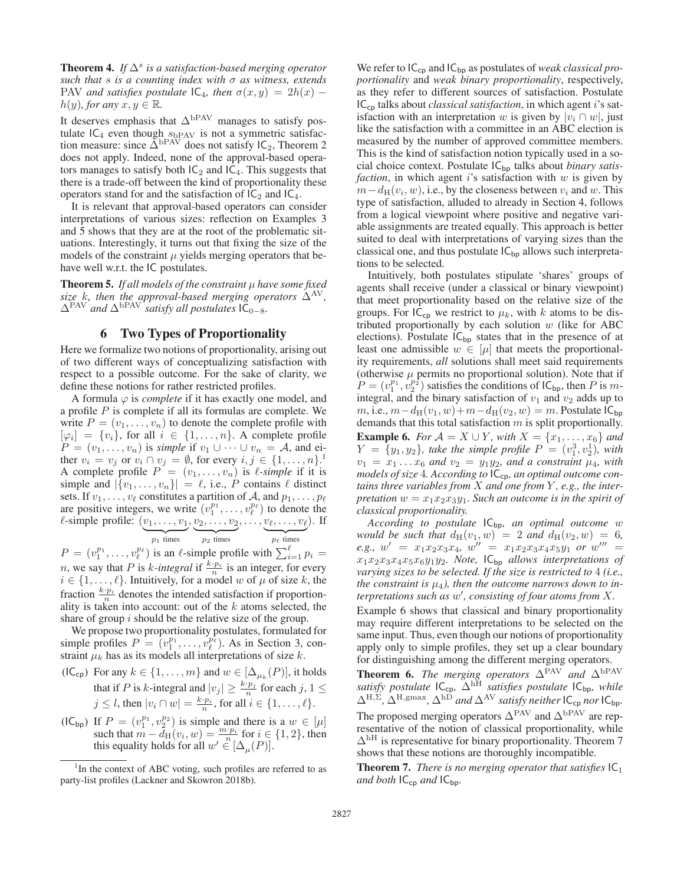**Theorem 4.** *If*  $\Delta^s$  *is a satisfaction-based merging operator such that* s *is a counting index with* σ *as witness, extends* PAV *and satisfies postulate*  $IC_4$ *, then*  $\sigma(x,y)=2h(x)$  −  $h(y)$ *, for any*  $x, y \in \mathbb{R}$ *.* 

It deserves emphasis that  $\Delta^{bPAV}$  manages to satisfy postulate  $IC_4$  even though  $s_{bPAV}$  is not a symmetric satisfaction measure; since  $\Delta^{bPAV}$  does not satisfy  $IC_2$ . Theorem 2 tion measure: since  $\Delta^{bPAV}$  does not satisfy  $IC_2$ , Theorem 2 does not apply Indeed none of the approval-based operadoes not apply. Indeed, none of the approval-based operators manages to satisfy both  $IC_2$  and  $IC_4$ . This suggests that there is a trade-off between the kind of proportionality these operators stand for and the satisfaction of  $IC_2$  and  $IC_4$ .

It is relevant that approval-based operators can consider interpretations of various sizes: reflection on Examples 3 and 5 shows that they are at the root of the problematic situations. Interestingly, it turns out that fixing the size of the models of the constraint  $\mu$  yields merging operators that behave well w.r.t. the IC postulates.

Theorem 5. *If all models of the constraint* μ *have some fixed size* k, then the approval-based merging operators  $\Delta^{AV}$ ,  $\Delta$ <sup>PAV</sup> and  $\Delta$ <sup>bPAV</sup> *satisfy all postulates*  $IC_{0-8}$ *.* 

### 6 Two Types of Proportionality

Here we formalize two notions of proportionality, arising out of two different ways of conceptualizing satisfaction with respect to a possible outcome. For the sake of clarity, we define these notions for rather restricted profiles.

A formula  $\varphi$  is *complete* if it has exactly one model, and a profile  $P$  is complete if all its formulas are complete. We write  $P = (v_1, \ldots, v_n)$  to denote the complete profile with  $[\varphi_i] = \{v_i\}$ , for all  $i \in \{1, \ldots, n\}$ . A complete profile  $P = (v_1, \ldots, v_n)$  is *simple* if  $v_1 \cup \cdots \cup v_n = A$ , and either  $v_i = v_j$  or  $v_i \cap v_j = \emptyset$ , for every  $i, j \in \{1, ..., n\}$ .<br>A complete profile  $P = (v_1, ..., v_n)$  is *l*-simple if it is A complete profile  $P^{\prime} = (v_1, \ldots, v_n)$  is  $\ell$ -simple if it is simple and  $|\{v_1,\ldots,v_n\}| = \ell$ , i.e., P contains  $\ell$  distinct sets. If  $v_1, \ldots, v_\ell$  constitutes a partition of A, and  $p_1, \ldots, p_\ell$ are positive integers, we write  $(v_1^{p_1}, \ldots, v_\ell^{p_\ell})$ <br>  $\ell$ -simple profile:  $(v_1, \ldots, v_1, v_2, \ldots, v_\ell)$  $\binom{p_{\ell}}{\ell}$  to denote the  $\ell$ -simple profile:  $(v_1, \ldots, v_1, v_2, \ldots, v_2, \ldots, v_\ell, \ldots, v_\ell)$  $\underbrace{v_{\ell}, \ldots, v_{\ell}}_{p_{\ell} \text{ times}}$ . If

$$
p_1
$$
 times  $p_2$  times  $p_\ell$  times  
is an  $\ell$ -simple profile with  $\sum^{\ell}$ 

 $P = (v_1^{p_1}, \dots, v_\ell^{p_\ell})$  $\binom{p_{\ell}}{\ell}$  is an  $\ell$ -simple profile with  $\sum_{i=1}^{\ell} p_i =$ *n*, we say that *P* is *k*-integral if  $\frac{k \cdot p_i}{n}$  is an integer, for every  $i \in \{1, \ldots, \ell\}$ . Intuitively, for a model w of  $\mu$  of size k, the fraction  $\frac{k \cdot p_i}{n}$  denotes the intended satisfaction if proportionality is taken into account: out of the  $k$  atoms selected, the share of group  $i$  should be the relative size of the group.

We propose two proportionality postulates, formulated for simple profiles  $P = (v_1^{p_1}, \dots, v_\ell^{p_\ell})$ <br>straint  $u_k$  has as its models all inter simple profiles  $P = (v_1^{p_1}, \dots, v_\ell^{p_\ell})$ . As in Section 3, constraint  $\mu_k$  has as its models all interpretations of size k.

- (IC<sub>cp</sub>) For any  $k \in \{1, \ldots, m\}$  and  $w \in [\Delta_{\mu_k}(P)]$ , it holds that if P is k-integral and  $|v_j| \ge \frac{k \cdot p_j}{n}$  for each  $j, 1 \le j \le l$ , then  $|v_j| \ge \frac{k \cdot p_j}{n}$  for eal is  $\in$   $(1, \ldots, l)$  $j \leq l$ , then  $|v_i \cap w| = \frac{k \cdot p_i}{n}$ , for all  $i \in \{1, \dots, l\}.$
- (IC<sub>bp</sub>) If  $P = (v_1^{p_1}, v_2^{p_2})$  is simple and there is a  $w \in [\mu]$ <br>such that  $m d_{\text{tr}}(v, w) = \frac{m \cdot p_i}{\mu}$  for  $i \in \{1, 2\}$  then such that  $m - d_H(v_i, w) = \frac{m \cdot p_i}{n}$  for  $i \in \{1, 2\}$ , then<br>this equality holds for all  $w' \in [\Lambda \ (P)]$ this equality holds for all  $w' \in [\Delta_{\mu}(P)].$

We refer to  $IC_{cp}$  and  $IC_{bp}$  as postulates of *weak classical proportionality* and *weak binary proportionality*, respectively, as they refer to different sources of satisfaction. Postulate ICcp talks about *classical satisfaction*, in which agent i's satisfaction with an interpretation w is given by  $|v_i \cap w|$ , just like the satisfaction with a committee in an ABC election is measured by the number of approved committee members. This is the kind of satisfaction notion typically used in a social choice context. Postulate  $IC_{bp}$  talks about *binary satisfaction*, in which agent  $i$ 's satisfaction with  $w$  is given by  $m-d_H(v_i, w)$ , i.e., by the closeness between  $v_i$  and w. This type of satisfaction, alluded to already in Section 4, follows from a logical viewpoint where positive and negative variable assignments are treated equally. This approach is better suited to deal with interpretations of varying sizes than the classical one, and thus postulate  $IC_{bp}$  allows such interpretations to be selected.

Intuitively, both postulates stipulate 'shares' groups of agents shall receive (under a classical or binary viewpoint) that meet proportionality based on the relative size of the groups. For  $IC_{cp}$  we restrict to  $\mu_k$ , with k atoms to be distributed proportionally by each solution  $w$  (like for ABC elections). Postulate  $IC_{bp}$  states that in the presence of at least one admissible  $w \in [\mu]$  that meets the proportionality requirements, *all* solutions shall meet said requirements (otherwise  $\mu$  permits no proportional solution). Note that if  $P = (v_1^{p_1}, v_2^{p_2})$  satisfies the conditions of  $IC_{bp}$ , then P is m-<br>integral and the binary satisfaction of  $v_1$  and  $v_2$  adds up to integral, and the binary satisfaction of  $v_1$  and  $v_2$  adds up to m, i.e.,  $m-d_H(v_1, w)+m-d_H(v_2, w)=m$ . Postulate  $IC_{bp}$ demands that this total satisfaction  $m$  is split proportionally. **Example 6.** *For*  $A = X \cup Y$ *, with*  $X = \{x_1, ..., x_6\}$  *and*  $Y = \{y_1, y_2\}$ , take the simple profile  $P = (v_1^3, v_2^1)$ , with  $v_1 = x_1$ ,  $x_2$  and  $y_2 = y_1y_2$  and a constraint  $u_3$  with  $v_1 = x_1 \dots x_6$  and  $v_2 = y_1 y_2$ , and a constraint  $\mu_4$ , with models of size 4. According to  $C_{\text{max}}$  an optimal outcome conmodels of size 4. According to  $IC_{cp}$ , an optimal outcome con*tains three variables from* X *and one from* Y *, e.g., the interpretation*  $w = x_1x_2x_3y_1$ *. Such an outcome is in the spirit of classical proportionality.*

*According to postulate* ICbp*, an optimal outcome* w *would be such that*  $d_H(v_1, w) = 2$  *and*  $d_H(v_2, w) = 6$ ,  $e \cdot w' = x_1 x_2 x_3 x_4 w'' = x_1 x_2 x_3 x_4 x_5 y_1$  *or*  $w''' = x_1 x_3 x_4 y_2$  $e.g., w' = x_1x_2x_3x_4, w'' = x_1x_2x_3x_4x_5y_1$  *or*  $w''' = x_1x_2x_3x_4x_5x_1$  *or*  $w''' = x_1x_2x_3x_4x_5x_1$  *or*  $w''' = x_1x_2x_3x_4x_5x_1$  *or*  $w''' = x_1x_2x_3x_4x_5x_1$  *or*  $w''' = x_1x_2x_3x_4x_5x_1$  *or w*  $x_1x_2x_3x_4x_5x_6y_1y_2$ *. Note,*  $\mathsf{IC}_{\mathsf{bp}}$  allows interpretations of varying sizes to be selected. If the size is restricted to A (i.e. *varying sizes to be selected. If the size is restricted to* 4 *(i.e., the constraint is*  $\mu_4$ *), then the outcome narrows down to interpretations such as* w *, consisting of four atoms from* X*.*

Example 6 shows that classical and binary proportionality may require different interpretations to be selected on the same input. Thus, even though our notions of proportionality apply only to simple profiles, they set up a clear boundary for distinguishing among the different merging operators.

**Theorem 6.** The merging operators  $\Delta^{PAV}$  and  $\Delta^{bPAV}$ <br>satisfy postulate  $\mathbf{C}_{\infty}$ ,  $\Delta^{hH}$  satisfies postulate  $\mathbf{C}_{\infty}$ , while *satisfy postulate*  $IC_{cp}$ ,  $\Delta^{hH}$  *satisfies postulate*  $IC_{bp}$ *, while*<br> $\Delta^{H,\Sigma}$ ,  $\Delta^{H,\text{gmax}}$ ,  $\Delta^{hD}$  and  $\Delta^{AV}$  satisfy neither  $IC$ , nor  $IC$ .  $\Delta^{H,\Sigma}$ ,  $\Delta^{H,\text{gmax}}$ ,  $\Delta^{hD}$  *and*  $\Delta^{AV}$  *satisfy neither*  $IC_{cp}$  *nor*  $IC_{bp}$ . The proposed merging operators  $\Delta^{\text{PAV}}$  and  $\Delta^{\text{bPAV}}$  are representative of the notion of classical proportionality, while  $\Delta$ <sup>hH</sup> is representative for binary proportionality. Theorem 7 shows that these notions are thoroughly incompatible.

**Theorem 7.** *There is no merging operator that satisfies*  $|C_1|$ *and both*  $IC_{cp}$  *and*  $IC_{bp}$ *.* 

<sup>&</sup>lt;sup>1</sup>In the context of ABC voting, such profiles are referred to as party-list profiles (Lackner and Skowron 2018b).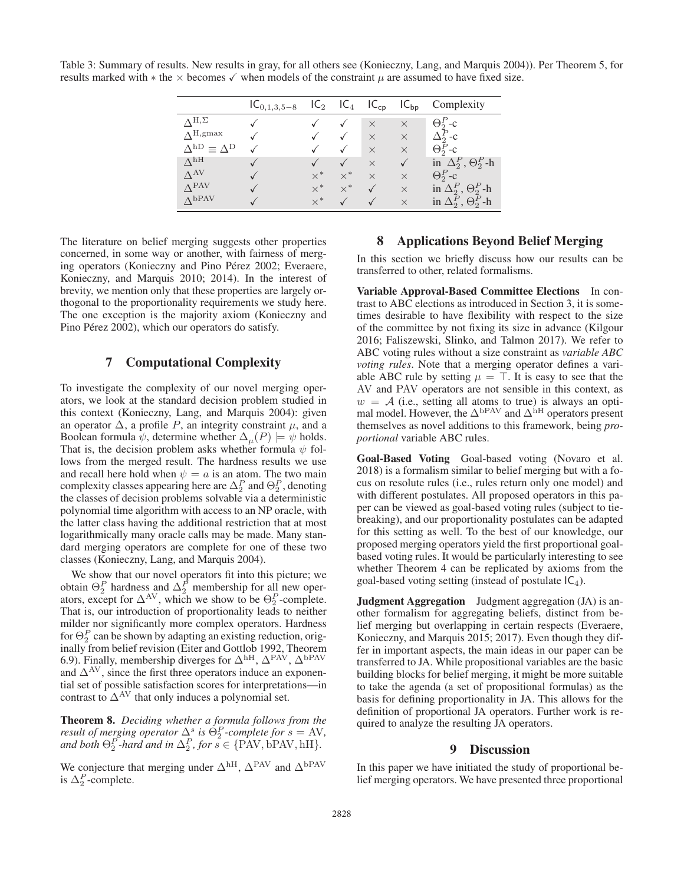Table 3: Summary of results. New results in gray, for all others see (Konieczny, Lang, and Marquis 2004)). Per Theorem 5, for results marked with  $*$  the  $\times$  becomes  $\checkmark$  when models of the constraint  $\mu$  are assumed to have fixed size.

|                                         | $IC_{0,1,3,5-8}$ | IC <sub>2</sub> | IC <sub>4</sub> | $IC_{cp}$ | $IC_{bp}$    | Complexity                        |
|-----------------------------------------|------------------|-----------------|-----------------|-----------|--------------|-----------------------------------|
| $\Lambda$ H, $\Sigma$                   |                  |                 |                 | $\times$  | $\times$     | $\Theta_2^P$ -c                   |
| $\Lambda^{\text{H,gmax}}$               |                  |                 | ✓               | $\times$  | $\times$     | $\Delta_2^P$ -c                   |
| $\Delta^{\rm hD} \equiv \Delta^{\rm D}$ |                  |                 |                 | $\times$  | $\times$     | $\Theta_2^P$ -c                   |
| $\Lambda^{\text{hH}}$                   |                  |                 |                 | $\times$  | $\checkmark$ | in $\Delta_2^P$ , $\Theta_2^P$ -h |
| $\Lambda$ <sup>AV</sup>                 |                  | $\times^*$      | $\times^*$      | $\times$  | $\times$     | $\Theta_2^P$ -c                   |
| $\Lambda$ PAV                           |                  | $\times^*$      | $\times^*$      |           | $\times$     | in $\Delta_2^P$ , $\Theta_2^P$ -h |
| $\Lambda$ <sub>bPAV</sub>               |                  | $\times^*$      |                 |           | $\times$     | in $\Delta_2^P$ , $\Theta_2^P$ -h |

The literature on belief merging suggests other properties concerned, in some way or another, with fairness of merging operators (Konieczny and Pino Pérez 2002; Everaere, Konieczny, and Marquis 2010; 2014). In the interest of brevity, we mention only that these properties are largely orthogonal to the proportionality requirements we study here. The one exception is the majority axiom (Konieczny and Pino Pérez 2002), which our operators do satisfy.

### 7 Computational Complexity

To investigate the complexity of our novel merging operators, we look at the standard decision problem studied in this context (Konieczny, Lang, and Marquis 2004): given an operator  $\Delta$ , a profile P, an integrity constraint  $\mu$ , and a Boolean formula  $\psi$ , determine whether  $\Delta_{\mu}(P) \models \psi$  holds. That is, the decision problem asks whether formula  $\psi$  follows from the merged result. The hardness results we use and recall here hold when  $\psi = a$  is an atom. The two main complexity classes appearing here are  $\Delta_P^P$  and  $\Theta_P^P$ , denoting the classes of decision problems solvable via a deterministic the classes of decision problems solvable via a deterministic polynomial time algorithm with access to an NP oracle, with the latter class having the additional restriction that at most logarithmically many oracle calls may be made. Many standard merging operators are complete for one of these two classes (Konieczny, Lang, and Marquis 2004).

We show that our novel operators fit into this picture; we obtain  $\Theta_2^P$  hardness and  $\Delta_2^P$  membership for all new oper-<br>ators, except for  $\Delta_{\text{AV}}$  which we show to be  $\Theta_2^P$ -complete ators, except for  $\Delta^{AV}$ , which we show to be  $\Theta_2^P$ -complete.<br>That is our introduction of proportionality leads to neither That is, our introduction of proportionality leads to neither milder nor significantly more complex operators. Hardness for  $\Theta_2^P$  can be shown by adapting an existing reduction, orig-<br>inally from belief revision (Eiter and Gottlob 1992, Theorem 6.9). Finally, membership diverges for  $\Delta^{\text{hH}}$ ,  $\Delta^{\text{PAV}}$ ,  $\Delta^{\text{bPAV}}$  and  $\Delta^{\text{AV}}$  since the first three operators induce an exponenand  $\Delta$ <sup>AV</sup>, since the first three operators induce an exponential set of possible satisfaction scores for interpretations—in contrast to  $\Delta^{\text{AV}}$  that only induces a polynomial set.

Theorem 8. *Deciding whether a formula follows from the result of merging operator*  $\Delta^s$  *is*  $\Theta^P$ *-complete for*  $s = AV$ , and both  $\Theta^P_s$ *-hard and in*  $\Delta^P_s$  *for*  $s \in \{PAV \text{ hPAV hH}\}$ and both  $\Theta_2^{P}$ *-hard and in*  $\Delta_2^P$ *, for*  $s \in \{PAV, bPAV, hH\}$ *.* 

We conjecture that merging under  $\Delta^{\text{hH}}$ ,  $\Delta^{\text{PAV}}$  and  $\Delta^{\text{bPAV}}$ is  $\Delta_2^P$ -complete.

## 8 Applications Beyond Belief Merging

In this section we briefly discuss how our results can be transferred to other, related formalisms.

Variable Approval-Based Committee Elections In contrast to ABC elections as introduced in Section 3, it is sometimes desirable to have flexibility with respect to the size of the committee by not fixing its size in advance (Kilgour 2016; Faliszewski, Slinko, and Talmon 2017). We refer to ABC voting rules without a size constraint as *variable ABC voting rules*. Note that a merging operator defines a variable ABC rule by setting  $\mu = \top$ . It is easy to see that the AV and PAV operators are not sensible in this context, as  $w = A$  (i.e., setting all atoms to true) is always an optimal model. However, the  $\Delta^{bPAV}$  and  $\Delta^{hH}$  operators present themselves as novel additions to this framework, being *proportional* variable ABC rules.

Goal-Based Voting Goal-based voting (Novaro et al. 2018) is a formalism similar to belief merging but with a focus on resolute rules (i.e., rules return only one model) and with different postulates. All proposed operators in this paper can be viewed as goal-based voting rules (subject to tiebreaking), and our proportionality postulates can be adapted for this setting as well. To the best of our knowledge, our proposed merging operators yield the first proportional goalbased voting rules. It would be particularly interesting to see whether Theorem 4 can be replicated by axioms from the goal-based voting setting (instead of postulate  $IC_4$ ).

**Judgment Aggregation** Judgment aggregation (JA) is another formalism for aggregating beliefs, distinct from belief merging but overlapping in certain respects (Everaere, Konieczny, and Marquis 2015; 2017). Even though they differ in important aspects, the main ideas in our paper can be transferred to JA. While propositional variables are the basic building blocks for belief merging, it might be more suitable to take the agenda (a set of propositional formulas) as the basis for defining proportionality in JA. This allows for the definition of proportional JA operators. Further work is required to analyze the resulting JA operators.

### 9 Discussion

In this paper we have initiated the study of proportional belief merging operators. We have presented three proportional